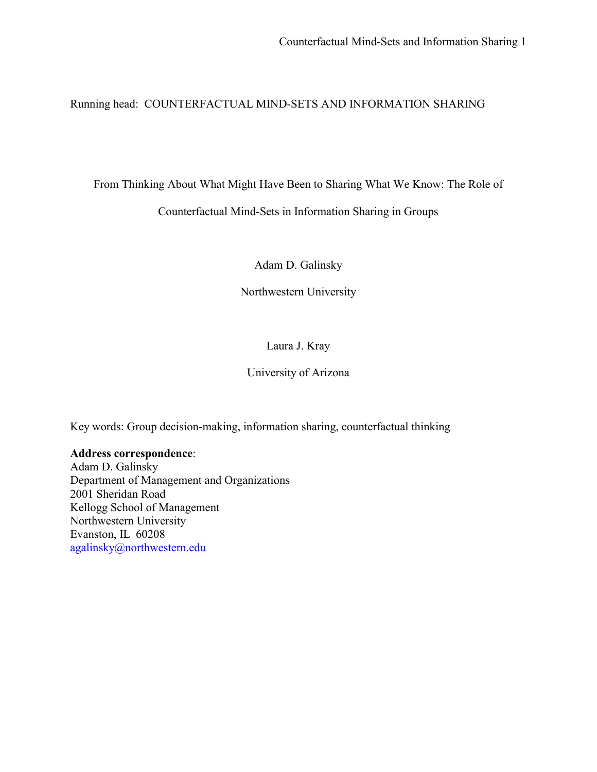Running head: COUNTERFACTUAL MIND-SETS AND INFORMATION SHARING

From Thinking About What Might Have Been to Sharing What We Know: The Role of

Counterfactual Mind-Sets in Information Sharing in Groups

Adam D. Galinsky

Northwestern University

# Laura J. Kray

University of Arizona

Key words: Group decision-making, information sharing, counterfactual thinking

# **Address correspondence**:

Adam D. Galinsky Department of Management and Organizations 2001 Sheridan Road Kellogg School of Management Northwestern University Evanston, IL 60208 agalinsky@northwestern.edu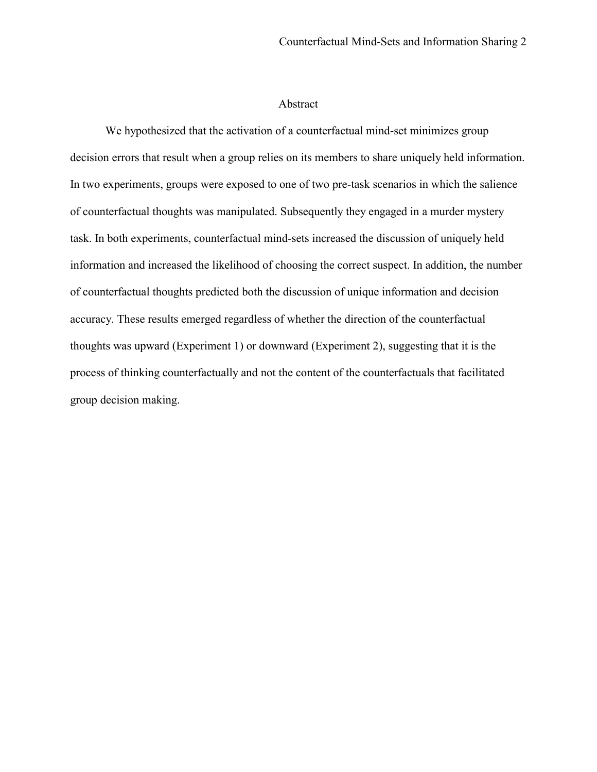# Abstract

We hypothesized that the activation of a counterfactual mind-set minimizes group decision errors that result when a group relies on its members to share uniquely held information. In two experiments, groups were exposed to one of two pre-task scenarios in which the salience of counterfactual thoughts was manipulated. Subsequently they engaged in a murder mystery task. In both experiments, counterfactual mind-sets increased the discussion of uniquely held information and increased the likelihood of choosing the correct suspect. In addition, the number of counterfactual thoughts predicted both the discussion of unique information and decision accuracy. These results emerged regardless of whether the direction of the counterfactual thoughts was upward (Experiment 1) or downward (Experiment 2), suggesting that it is the process of thinking counterfactually and not the content of the counterfactuals that facilitated group decision making.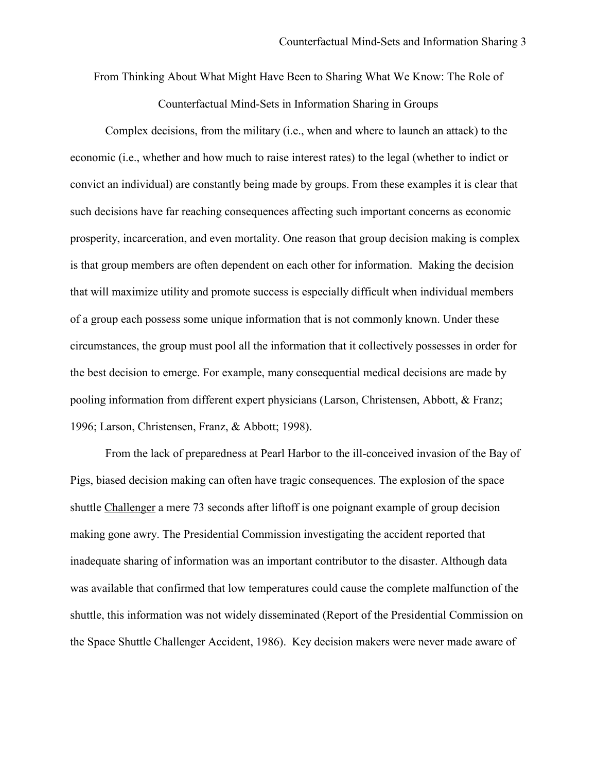From Thinking About What Might Have Been to Sharing What We Know: The Role of Counterfactual Mind-Sets in Information Sharing in Groups

Complex decisions, from the military (i.e., when and where to launch an attack) to the economic (i.e., whether and how much to raise interest rates) to the legal (whether to indict or convict an individual) are constantly being made by groups. From these examples it is clear that such decisions have far reaching consequences affecting such important concerns as economic prosperity, incarceration, and even mortality. One reason that group decision making is complex is that group members are often dependent on each other for information. Making the decision that will maximize utility and promote success is especially difficult when individual members of a group each possess some unique information that is not commonly known. Under these circumstances, the group must pool all the information that it collectively possesses in order for the best decision to emerge. For example, many consequential medical decisions are made by pooling information from different expert physicians (Larson, Christensen, Abbott, & Franz; 1996; Larson, Christensen, Franz, & Abbott; 1998).

 From the lack of preparedness at Pearl Harbor to the ill-conceived invasion of the Bay of Pigs, biased decision making can often have tragic consequences. The explosion of the space shuttle Challenger a mere 73 seconds after liftoff is one poignant example of group decision making gone awry. The Presidential Commission investigating the accident reported that inadequate sharing of information was an important contributor to the disaster. Although data was available that confirmed that low temperatures could cause the complete malfunction of the shuttle, this information was not widely disseminated (Report of the Presidential Commission on the Space Shuttle Challenger Accident, 1986). Key decision makers were never made aware of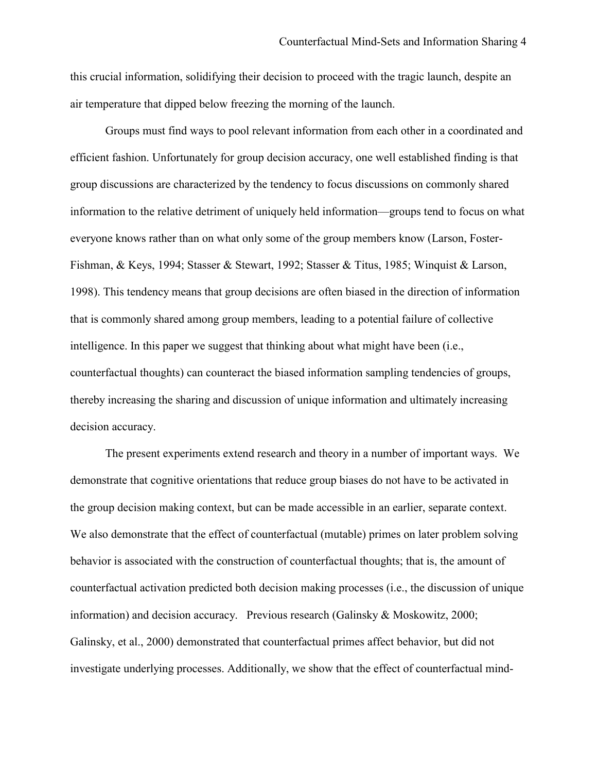this crucial information, solidifying their decision to proceed with the tragic launch, despite an air temperature that dipped below freezing the morning of the launch.

Groups must find ways to pool relevant information from each other in a coordinated and efficient fashion. Unfortunately for group decision accuracy, one well established finding is that group discussions are characterized by the tendency to focus discussions on commonly shared information to the relative detriment of uniquely held information—groups tend to focus on what everyone knows rather than on what only some of the group members know (Larson, Foster-Fishman, & Keys, 1994; Stasser & Stewart, 1992; Stasser & Titus, 1985; Winquist & Larson, 1998). This tendency means that group decisions are often biased in the direction of information that is commonly shared among group members, leading to a potential failure of collective intelligence. In this paper we suggest that thinking about what might have been (i.e., counterfactual thoughts) can counteract the biased information sampling tendencies of groups, thereby increasing the sharing and discussion of unique information and ultimately increasing decision accuracy.

The present experiments extend research and theory in a number of important ways. We demonstrate that cognitive orientations that reduce group biases do not have to be activated in the group decision making context, but can be made accessible in an earlier, separate context. We also demonstrate that the effect of counterfactual (mutable) primes on later problem solving behavior is associated with the construction of counterfactual thoughts; that is, the amount of counterfactual activation predicted both decision making processes (i.e., the discussion of unique information) and decision accuracy. Previous research (Galinsky & Moskowitz, 2000; Galinsky, et al., 2000) demonstrated that counterfactual primes affect behavior, but did not investigate underlying processes. Additionally, we show that the effect of counterfactual mind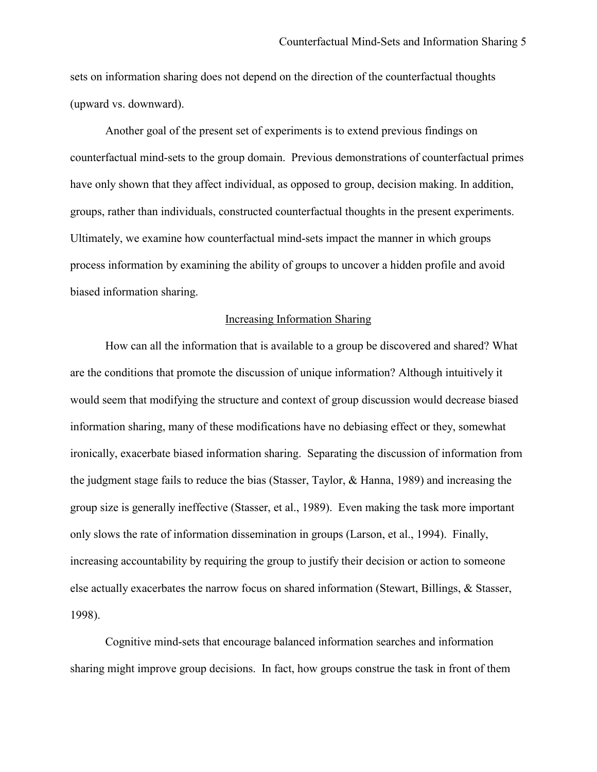sets on information sharing does not depend on the direction of the counterfactual thoughts (upward vs. downward).

Another goal of the present set of experiments is to extend previous findings on counterfactual mind-sets to the group domain. Previous demonstrations of counterfactual primes have only shown that they affect individual, as opposed to group, decision making. In addition, groups, rather than individuals, constructed counterfactual thoughts in the present experiments. Ultimately, we examine how counterfactual mind-sets impact the manner in which groups process information by examining the ability of groups to uncover a hidden profile and avoid biased information sharing.

#### Increasing Information Sharing

How can all the information that is available to a group be discovered and shared? What are the conditions that promote the discussion of unique information? Although intuitively it would seem that modifying the structure and context of group discussion would decrease biased information sharing, many of these modifications have no debiasing effect or they, somewhat ironically, exacerbate biased information sharing. Separating the discussion of information from the judgment stage fails to reduce the bias (Stasser, Taylor, & Hanna, 1989) and increasing the group size is generally ineffective (Stasser, et al., 1989). Even making the task more important only slows the rate of information dissemination in groups (Larson, et al., 1994). Finally, increasing accountability by requiring the group to justify their decision or action to someone else actually exacerbates the narrow focus on shared information (Stewart, Billings, & Stasser, 1998).

Cognitive mind-sets that encourage balanced information searches and information sharing might improve group decisions. In fact, how groups construe the task in front of them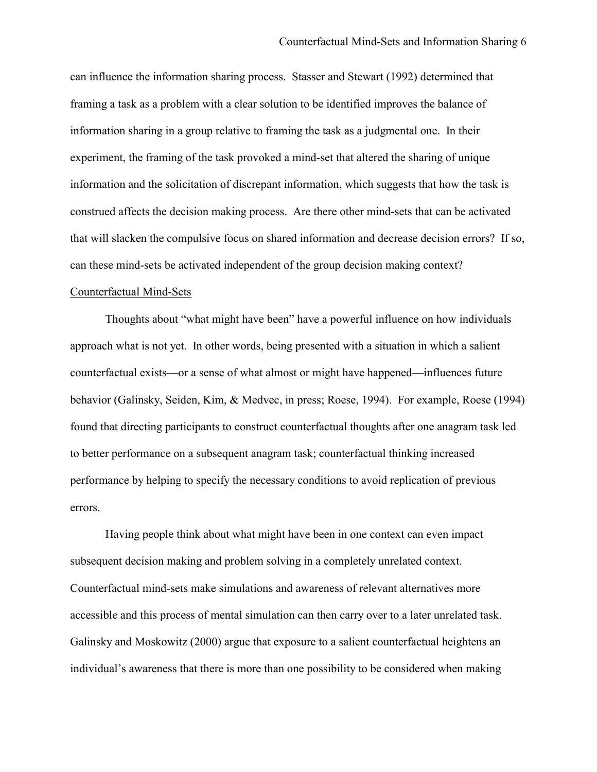can influence the information sharing process. Stasser and Stewart (1992) determined that framing a task as a problem with a clear solution to be identified improves the balance of information sharing in a group relative to framing the task as a judgmental one. In their experiment, the framing of the task provoked a mind-set that altered the sharing of unique information and the solicitation of discrepant information, which suggests that how the task is construed affects the decision making process. Are there other mind-sets that can be activated that will slacken the compulsive focus on shared information and decrease decision errors? If so, can these mind-sets be activated independent of the group decision making context?

# Counterfactual Mind-Sets

 Thoughts about "what might have been" have a powerful influence on how individuals approach what is not yet. In other words, being presented with a situation in which a salient counterfactual exists—or a sense of what almost or might have happened—influences future behavior (Galinsky, Seiden, Kim, & Medvec, in press; Roese, 1994). For example, Roese (1994) found that directing participants to construct counterfactual thoughts after one anagram task led to better performance on a subsequent anagram task; counterfactual thinking increased performance by helping to specify the necessary conditions to avoid replication of previous errors.

Having people think about what might have been in one context can even impact subsequent decision making and problem solving in a completely unrelated context. Counterfactual mind-sets make simulations and awareness of relevant alternatives more accessible and this process of mental simulation can then carry over to a later unrelated task. Galinsky and Moskowitz (2000) argue that exposure to a salient counterfactual heightens an individual's awareness that there is more than one possibility to be considered when making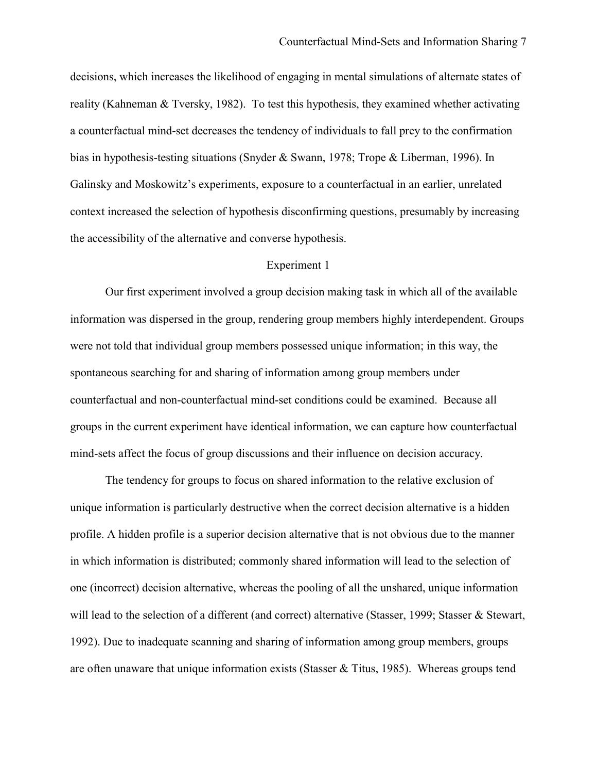decisions, which increases the likelihood of engaging in mental simulations of alternate states of reality (Kahneman & Tversky, 1982). To test this hypothesis, they examined whether activating a counterfactual mind-set decreases the tendency of individuals to fall prey to the confirmation bias in hypothesis-testing situations (Snyder & Swann, 1978; Trope & Liberman, 1996). In Galinsky and Moskowitz's experiments, exposure to a counterfactual in an earlier, unrelated context increased the selection of hypothesis disconfirming questions, presumably by increasing the accessibility of the alternative and converse hypothesis.

## Experiment 1

Our first experiment involved a group decision making task in which all of the available information was dispersed in the group, rendering group members highly interdependent. Groups were not told that individual group members possessed unique information; in this way, the spontaneous searching for and sharing of information among group members under counterfactual and non-counterfactual mind-set conditions could be examined. Because all groups in the current experiment have identical information, we can capture how counterfactual mind-sets affect the focus of group discussions and their influence on decision accuracy.

The tendency for groups to focus on shared information to the relative exclusion of unique information is particularly destructive when the correct decision alternative is a hidden profile. A hidden profile is a superior decision alternative that is not obvious due to the manner in which information is distributed; commonly shared information will lead to the selection of one (incorrect) decision alternative, whereas the pooling of all the unshared, unique information will lead to the selection of a different (and correct) alternative (Stasser, 1999; Stasser & Stewart, 1992). Due to inadequate scanning and sharing of information among group members, groups are often unaware that unique information exists (Stasser & Titus, 1985). Whereas groups tend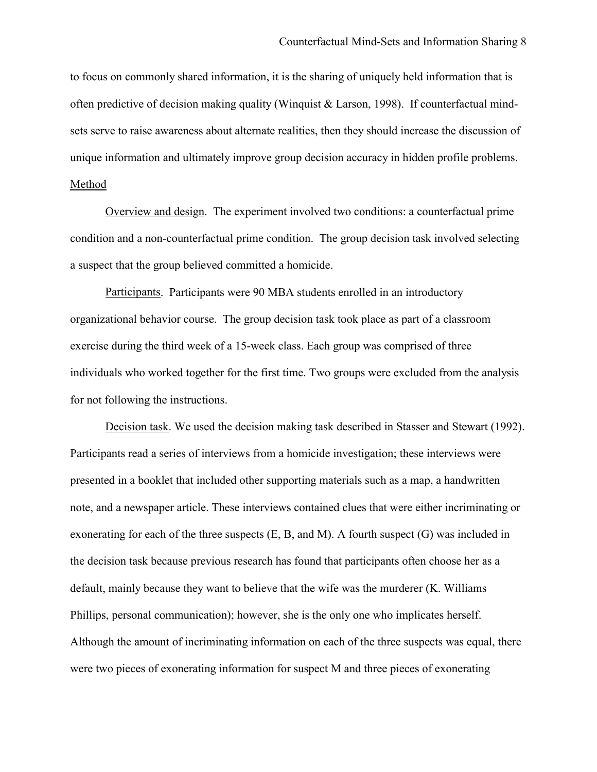to focus on commonly shared information, it is the sharing of uniquely held information that is often predictive of decision making quality (Winquist & Larson, 1998). If counterfactual mindsets serve to raise awareness about alternate realities, then they should increase the discussion of unique information and ultimately improve group decision accuracy in hidden profile problems. Method

 Overview and design. The experiment involved two conditions: a counterfactual prime condition and a non-counterfactual prime condition. The group decision task involved selecting a suspect that the group believed committed a homicide.

 Participants. Participants were 90 MBA students enrolled in an introductory organizational behavior course. The group decision task took place as part of a classroom exercise during the third week of a 15-week class. Each group was comprised of three individuals who worked together for the first time. Two groups were excluded from the analysis for not following the instructions.

 Decision task. We used the decision making task described in Stasser and Stewart (1992). Participants read a series of interviews from a homicide investigation; these interviews were presented in a booklet that included other supporting materials such as a map, a handwritten note, and a newspaper article. These interviews contained clues that were either incriminating or exonerating for each of the three suspects (E, B, and M). A fourth suspect (G) was included in the decision task because previous research has found that participants often choose her as a default, mainly because they want to believe that the wife was the murderer (K. Williams Phillips, personal communication); however, she is the only one who implicates herself. Although the amount of incriminating information on each of the three suspects was equal, there were two pieces of exonerating information for suspect M and three pieces of exonerating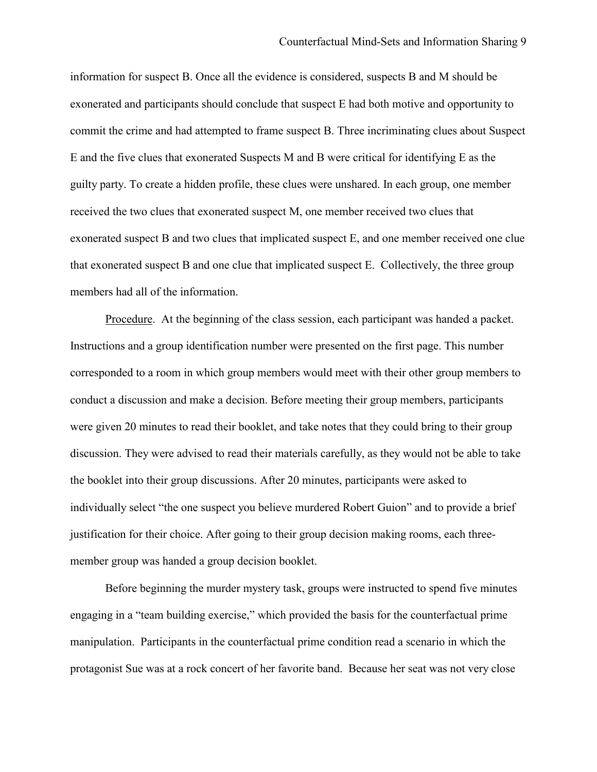information for suspect B. Once all the evidence is considered, suspects B and M should be exonerated and participants should conclude that suspect E had both motive and opportunity to commit the crime and had attempted to frame suspect B. Three incriminating clues about Suspect E and the five clues that exonerated Suspects M and B were critical for identifying E as the guilty party. To create a hidden profile, these clues were unshared. In each group, one member received the two clues that exonerated suspect M, one member received two clues that exonerated suspect B and two clues that implicated suspect E, and one member received one clue that exonerated suspect B and one clue that implicated suspect E. Collectively, the three group members had all of the information.

Procedure. At the beginning of the class session, each participant was handed a packet. Instructions and a group identification number were presented on the first page. This number corresponded to a room in which group members would meet with their other group members to conduct a discussion and make a decision. Before meeting their group members, participants were given 20 minutes to read their booklet, and take notes that they could bring to their group discussion. They were advised to read their materials carefully, as they would not be able to take the booklet into their group discussions. After 20 minutes, participants were asked to individually select "the one suspect you believe murdered Robert Guion" and to provide a brief justification for their choice. After going to their group decision making rooms, each threemember group was handed a group decision booklet.

Before beginning the murder mystery task, groups were instructed to spend five minutes engaging in a "team building exercise," which provided the basis for the counterfactual prime manipulation. Participants in the counterfactual prime condition read a scenario in which the protagonist Sue was at a rock concert of her favorite band. Because her seat was not very close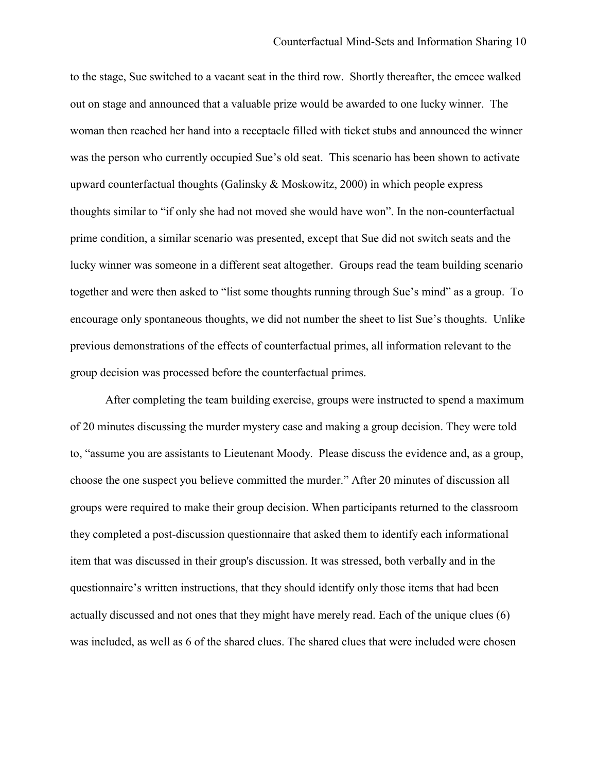to the stage, Sue switched to a vacant seat in the third row. Shortly thereafter, the emcee walked out on stage and announced that a valuable prize would be awarded to one lucky winner. The woman then reached her hand into a receptacle filled with ticket stubs and announced the winner was the person who currently occupied Sue's old seat. This scenario has been shown to activate upward counterfactual thoughts (Galinsky & Moskowitz, 2000) in which people express thoughts similar to "if only she had not moved she would have won". In the non-counterfactual prime condition, a similar scenario was presented, except that Sue did not switch seats and the lucky winner was someone in a different seat altogether. Groups read the team building scenario together and were then asked to "list some thoughts running through Sue's mind" as a group. To encourage only spontaneous thoughts, we did not number the sheet to list Sue's thoughts. Unlike previous demonstrations of the effects of counterfactual primes, all information relevant to the group decision was processed before the counterfactual primes.

After completing the team building exercise, groups were instructed to spend a maximum of 20 minutes discussing the murder mystery case and making a group decision. They were told to, "assume you are assistants to Lieutenant Moody. Please discuss the evidence and, as a group, choose the one suspect you believe committed the murder." After 20 minutes of discussion all groups were required to make their group decision. When participants returned to the classroom they completed a post-discussion questionnaire that asked them to identify each informational item that was discussed in their group's discussion. It was stressed, both verbally and in the questionnaire's written instructions, that they should identify only those items that had been actually discussed and not ones that they might have merely read. Each of the unique clues (6) was included, as well as 6 of the shared clues. The shared clues that were included were chosen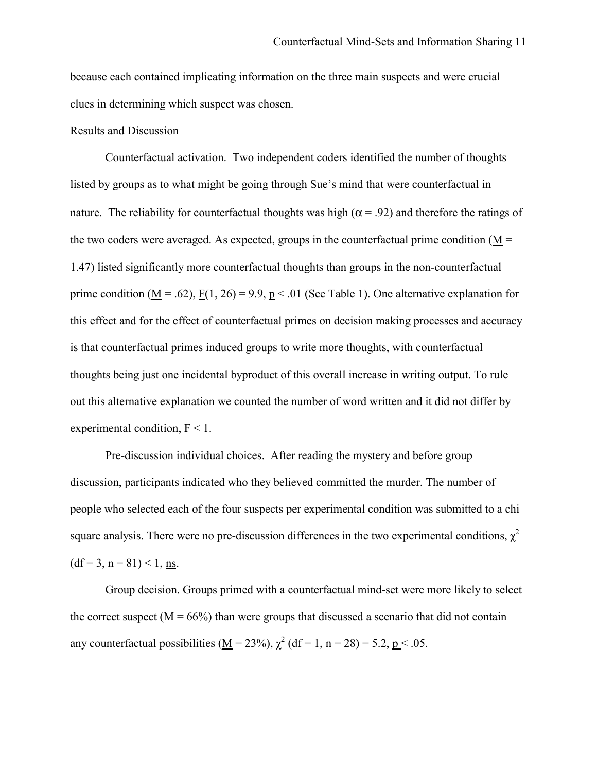because each contained implicating information on the three main suspects and were crucial clues in determining which suspect was chosen.

# Results and Discussion

Counterfactual activation. Two independent coders identified the number of thoughts listed by groups as to what might be going through Sue's mind that were counterfactual in nature. The reliability for counterfactual thoughts was high ( $\alpha$  = .92) and therefore the ratings of the two coders were averaged. As expected, groups in the counterfactual prime condition ( $M =$ 1.47) listed significantly more counterfactual thoughts than groups in the non-counterfactual prime condition ( $\underline{M} = .62$ ),  $\underline{F}(1, 26) = 9.9$ ,  $\underline{p} < .01$  (See Table 1). One alternative explanation for this effect and for the effect of counterfactual primes on decision making processes and accuracy is that counterfactual primes induced groups to write more thoughts, with counterfactual thoughts being just one incidental byproduct of this overall increase in writing output. To rule out this alternative explanation we counted the number of word written and it did not differ by experimental condition,  $F < 1$ .

Pre-discussion individual choices. After reading the mystery and before group discussion, participants indicated who they believed committed the murder. The number of people who selected each of the four suspects per experimental condition was submitted to a chi square analysis. There were no pre-discussion differences in the two experimental conditions,  $\chi^2$  $(df=3, n=81) < 1, ns.$ 

Group decision. Groups primed with a counterfactual mind-set were more likely to select the correct suspect ( $M = 66\%$ ) than were groups that discussed a scenario that did not contain any counterfactual possibilities ( $\underline{M} = 23\%$ ),  $\chi^2$  (df = 1, n = 28) = 5.2, p < .05.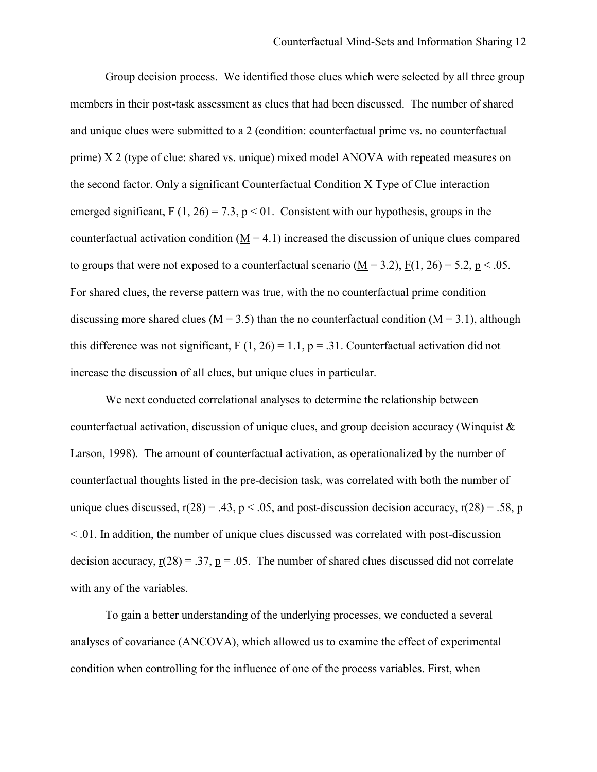Group decision process. We identified those clues which were selected by all three group members in their post-task assessment as clues that had been discussed. The number of shared and unique clues were submitted to a 2 (condition: counterfactual prime vs. no counterfactual prime) X 2 (type of clue: shared vs. unique) mixed model ANOVA with repeated measures on the second factor. Only a significant Counterfactual Condition X Type of Clue interaction emerged significant,  $F(1, 26) = 7.3$ ,  $p < 01$ . Consistent with our hypothesis, groups in the counterfactual activation condition  $(M = 4.1)$  increased the discussion of unique clues compared to groups that were not exposed to a counterfactual scenario  $(M = 3.2)$ ,  $F(1, 26) = 5.2$ ,  $p < .05$ . For shared clues, the reverse pattern was true, with the no counterfactual prime condition discussing more shared clues ( $M = 3.5$ ) than the no counterfactual condition ( $M = 3.1$ ), although this difference was not significant,  $F(1, 26) = 1.1$ ,  $p = .31$ . Counterfactual activation did not increase the discussion of all clues, but unique clues in particular.

We next conducted correlational analyses to determine the relationship between counterfactual activation, discussion of unique clues, and group decision accuracy (Winquist & Larson, 1998). The amount of counterfactual activation, as operationalized by the number of counterfactual thoughts listed in the pre-decision task, was correlated with both the number of unique clues discussed,  $r(28) = .43$ ,  $p < .05$ , and post-discussion decision accuracy,  $r(28) = .58$ , p < .01. In addition, the number of unique clues discussed was correlated with post-discussion decision accuracy,  $r(28) = .37$ ,  $p = .05$ . The number of shared clues discussed did not correlate with any of the variables.

To gain a better understanding of the underlying processes, we conducted a several analyses of covariance (ANCOVA), which allowed us to examine the effect of experimental condition when controlling for the influence of one of the process variables. First, when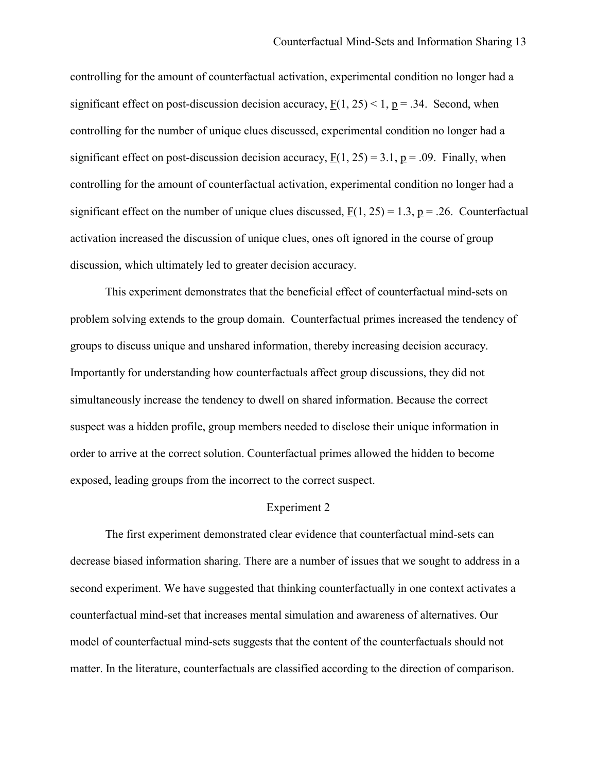controlling for the amount of counterfactual activation, experimental condition no longer had a significant effect on post-discussion decision accuracy,  $F(1, 25) < 1$ ,  $p = .34$ . Second, when controlling for the number of unique clues discussed, experimental condition no longer had a significant effect on post-discussion decision accuracy,  $F(1, 25) = 3.1$ ,  $p = .09$ . Finally, when controlling for the amount of counterfactual activation, experimental condition no longer had a significant effect on the number of unique clues discussed,  $F(1, 25) = 1.3$ ,  $p = .26$ . Counterfactual activation increased the discussion of unique clues, ones oft ignored in the course of group discussion, which ultimately led to greater decision accuracy.

 This experiment demonstrates that the beneficial effect of counterfactual mind-sets on problem solving extends to the group domain. Counterfactual primes increased the tendency of groups to discuss unique and unshared information, thereby increasing decision accuracy. Importantly for understanding how counterfactuals affect group discussions, they did not simultaneously increase the tendency to dwell on shared information. Because the correct suspect was a hidden profile, group members needed to disclose their unique information in order to arrive at the correct solution. Counterfactual primes allowed the hidden to become exposed, leading groups from the incorrect to the correct suspect.

## Experiment 2

The first experiment demonstrated clear evidence that counterfactual mind-sets can decrease biased information sharing. There are a number of issues that we sought to address in a second experiment. We have suggested that thinking counterfactually in one context activates a counterfactual mind-set that increases mental simulation and awareness of alternatives. Our model of counterfactual mind-sets suggests that the content of the counterfactuals should not matter. In the literature, counterfactuals are classified according to the direction of comparison.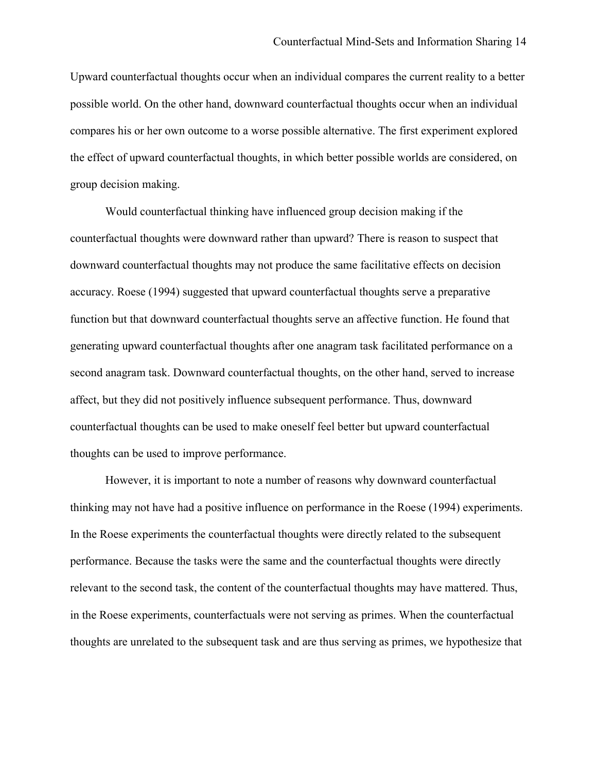Upward counterfactual thoughts occur when an individual compares the current reality to a better possible world. On the other hand, downward counterfactual thoughts occur when an individual compares his or her own outcome to a worse possible alternative. The first experiment explored the effect of upward counterfactual thoughts, in which better possible worlds are considered, on group decision making.

Would counterfactual thinking have influenced group decision making if the counterfactual thoughts were downward rather than upward? There is reason to suspect that downward counterfactual thoughts may not produce the same facilitative effects on decision accuracy. Roese (1994) suggested that upward counterfactual thoughts serve a preparative function but that downward counterfactual thoughts serve an affective function. He found that generating upward counterfactual thoughts after one anagram task facilitated performance on a second anagram task. Downward counterfactual thoughts, on the other hand, served to increase affect, but they did not positively influence subsequent performance. Thus, downward counterfactual thoughts can be used to make oneself feel better but upward counterfactual thoughts can be used to improve performance.

However, it is important to note a number of reasons why downward counterfactual thinking may not have had a positive influence on performance in the Roese (1994) experiments. In the Roese experiments the counterfactual thoughts were directly related to the subsequent performance. Because the tasks were the same and the counterfactual thoughts were directly relevant to the second task, the content of the counterfactual thoughts may have mattered. Thus, in the Roese experiments, counterfactuals were not serving as primes. When the counterfactual thoughts are unrelated to the subsequent task and are thus serving as primes, we hypothesize that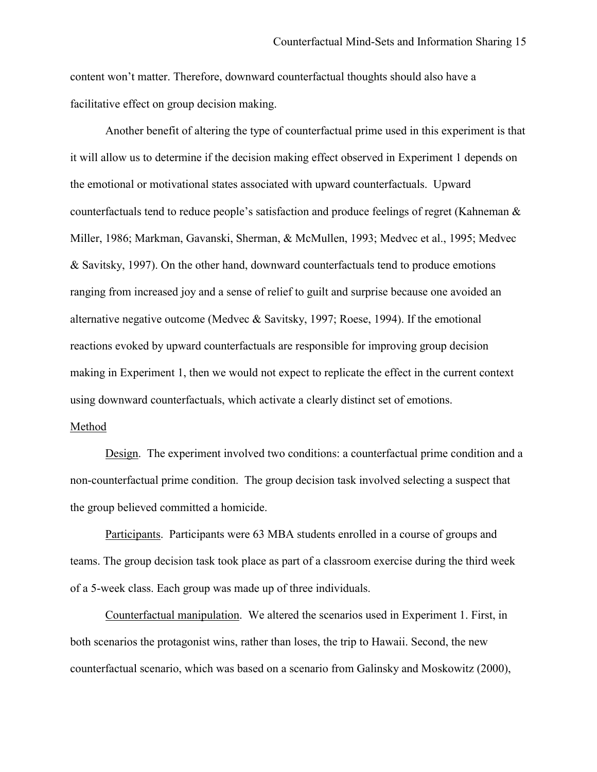content won't matter. Therefore, downward counterfactual thoughts should also have a facilitative effect on group decision making.

Another benefit of altering the type of counterfactual prime used in this experiment is that it will allow us to determine if the decision making effect observed in Experiment 1 depends on the emotional or motivational states associated with upward counterfactuals. Upward counterfactuals tend to reduce people's satisfaction and produce feelings of regret (Kahneman & Miller, 1986; Markman, Gavanski, Sherman, & McMullen, 1993; Medvec et al., 1995; Medvec & Savitsky, 1997). On the other hand, downward counterfactuals tend to produce emotions ranging from increased joy and a sense of relief to guilt and surprise because one avoided an alternative negative outcome (Medvec & Savitsky, 1997; Roese, 1994). If the emotional reactions evoked by upward counterfactuals are responsible for improving group decision making in Experiment 1, then we would not expect to replicate the effect in the current context using downward counterfactuals, which activate a clearly distinct set of emotions.

## Method

Design. The experiment involved two conditions: a counterfactual prime condition and a non-counterfactual prime condition. The group decision task involved selecting a suspect that the group believed committed a homicide.

 Participants. Participants were 63 MBA students enrolled in a course of groups and teams. The group decision task took place as part of a classroom exercise during the third week of a 5-week class. Each group was made up of three individuals.

Counterfactual manipulation. We altered the scenarios used in Experiment 1. First, in both scenarios the protagonist wins, rather than loses, the trip to Hawaii. Second, the new counterfactual scenario, which was based on a scenario from Galinsky and Moskowitz (2000),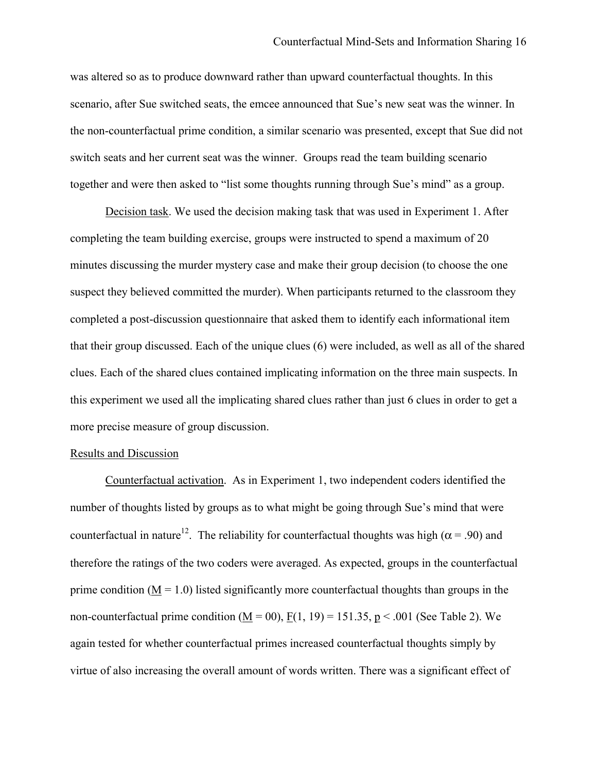was altered so as to produce downward rather than upward counterfactual thoughts. In this scenario, after Sue switched seats, the emcee announced that Sue's new seat was the winner. In the non-counterfactual prime condition, a similar scenario was presented, except that Sue did not switch seats and her current seat was the winner. Groups read the team building scenario together and were then asked to "list some thoughts running through Sue's mind" as a group.

Decision task. We used the decision making task that was used in Experiment 1. After completing the team building exercise, groups were instructed to spend a maximum of 20 minutes discussing the murder mystery case and make their group decision (to choose the one suspect they believed committed the murder). When participants returned to the classroom they completed a post-discussion questionnaire that asked them to identify each informational item that their group discussed. Each of the unique clues (6) were included, as well as all of the shared clues. Each of the shared clues contained implicating information on the three main suspects. In this experiment we used all the implicating shared clues rather than just 6 clues in order to get a more precise measure of group discussion.

# Results and Discussion

Counterfactual activation. As in Experiment 1, two independent coders identified the number of thoughts listed by groups as to what might be going through Sue's mind that were counterfactual in nature<sup>12</sup>. The reliability for counterfactual thoughts was high ( $\alpha$  = .90) and therefore the ratings of the two coders were averaged. As expected, groups in the counterfactual prime condition ( $\underline{M} = 1.0$ ) listed significantly more counterfactual thoughts than groups in the non-counterfactual prime condition  $(M = 00)$ ,  $F(1, 19) = 151.35$ ,  $p < .001$  (See Table 2). We again tested for whether counterfactual primes increased counterfactual thoughts simply by virtue of also increasing the overall amount of words written. There was a significant effect of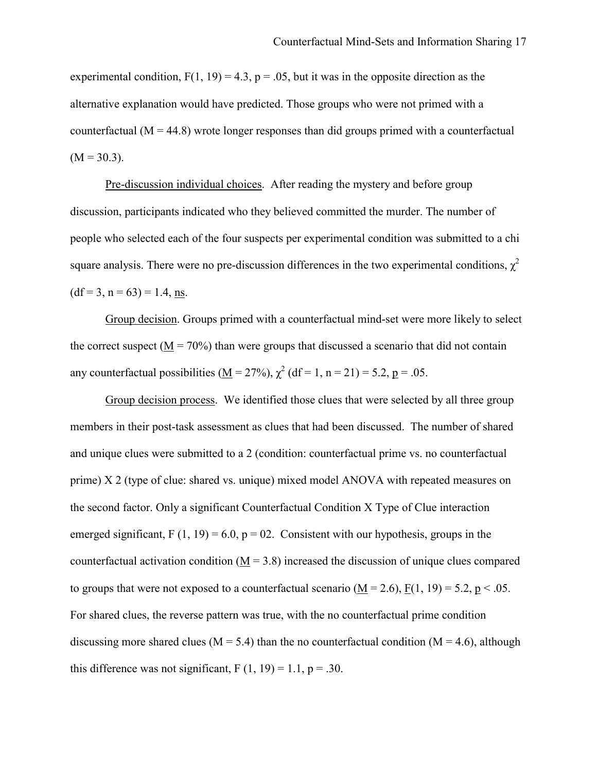experimental condition,  $F(1, 19) = 4.3$ ,  $p = .05$ , but it was in the opposite direction as the alternative explanation would have predicted. Those groups who were not primed with a counterfactual  $(M = 44.8)$  wrote longer responses than did groups primed with a counterfactual  $(M = 30.3)$ .

Pre-discussion individual choices. After reading the mystery and before group discussion, participants indicated who they believed committed the murder. The number of people who selected each of the four suspects per experimental condition was submitted to a chi square analysis. There were no pre-discussion differences in the two experimental conditions,  $\chi^2$  $(df = 3, n = 63) = 1.4$ , ns.

Group decision. Groups primed with a counterfactual mind-set were more likely to select the correct suspect ( $M = 70\%$ ) than were groups that discussed a scenario that did not contain any counterfactual possibilities ( $\underline{M} = 27\%$ ),  $\chi^2$  (df = 1, n = 21) = 5.2, p = .05.

Group decision process. We identified those clues that were selected by all three group members in their post-task assessment as clues that had been discussed. The number of shared and unique clues were submitted to a 2 (condition: counterfactual prime vs. no counterfactual prime) X 2 (type of clue: shared vs. unique) mixed model ANOVA with repeated measures on the second factor. Only a significant Counterfactual Condition X Type of Clue interaction emerged significant,  $F(1, 19) = 6.0$ ,  $p = 02$ . Consistent with our hypothesis, groups in the counterfactual activation condition  $(M = 3.8)$  increased the discussion of unique clues compared to groups that were not exposed to a counterfactual scenario  $(M = 2.6)$ ,  $F(1, 19) = 5.2$ ,  $p < .05$ . For shared clues, the reverse pattern was true, with the no counterfactual prime condition discussing more shared clues ( $M = 5.4$ ) than the no counterfactual condition ( $M = 4.6$ ), although this difference was not significant,  $F(1, 19) = 1.1$ ,  $p = .30$ .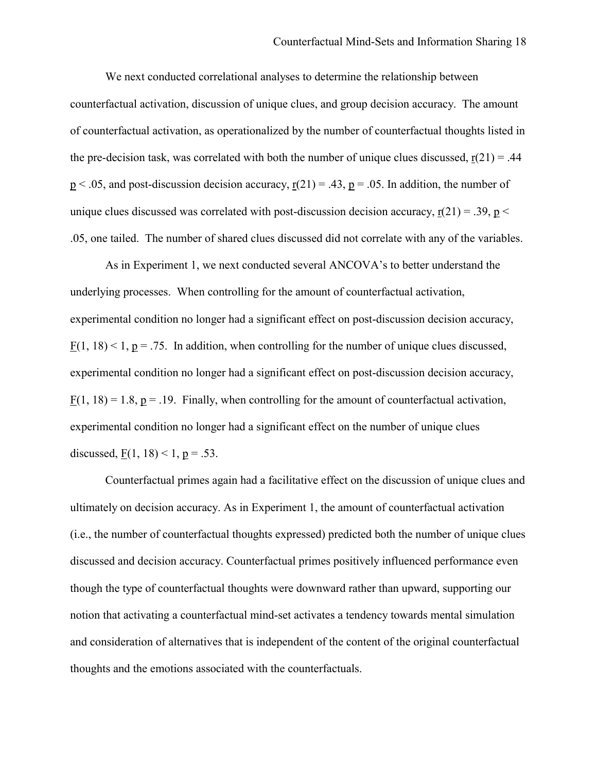We next conducted correlational analyses to determine the relationship between counterfactual activation, discussion of unique clues, and group decision accuracy. The amount of counterfactual activation, as operationalized by the number of counterfactual thoughts listed in the pre-decision task, was correlated with both the number of unique clues discussed,  $r(21) = .44$  $p < .05$ , and post-discussion decision accuracy,  $r(21) = .43$ ,  $p = .05$ . In addition, the number of unique clues discussed was correlated with post-discussion decision accuracy,  $r(21) = .39$ ,  $p <$ .05, one tailed. The number of shared clues discussed did not correlate with any of the variables.

As in Experiment 1, we next conducted several ANCOVA's to better understand the underlying processes. When controlling for the amount of counterfactual activation, experimental condition no longer had a significant effect on post-discussion decision accuracy,  $F(1, 18) < 1$ ,  $p = .75$ . In addition, when controlling for the number of unique clues discussed, experimental condition no longer had a significant effect on post-discussion decision accuracy,  $F(1, 18) = 1.8$ ,  $p = .19$ . Finally, when controlling for the amount of counterfactual activation, experimental condition no longer had a significant effect on the number of unique clues discussed,  $F(1, 18) < 1, p = .53$ .

 Counterfactual primes again had a facilitative effect on the discussion of unique clues and ultimately on decision accuracy. As in Experiment 1, the amount of counterfactual activation (i.e., the number of counterfactual thoughts expressed) predicted both the number of unique clues discussed and decision accuracy. Counterfactual primes positively influenced performance even though the type of counterfactual thoughts were downward rather than upward, supporting our notion that activating a counterfactual mind-set activates a tendency towards mental simulation and consideration of alternatives that is independent of the content of the original counterfactual thoughts and the emotions associated with the counterfactuals.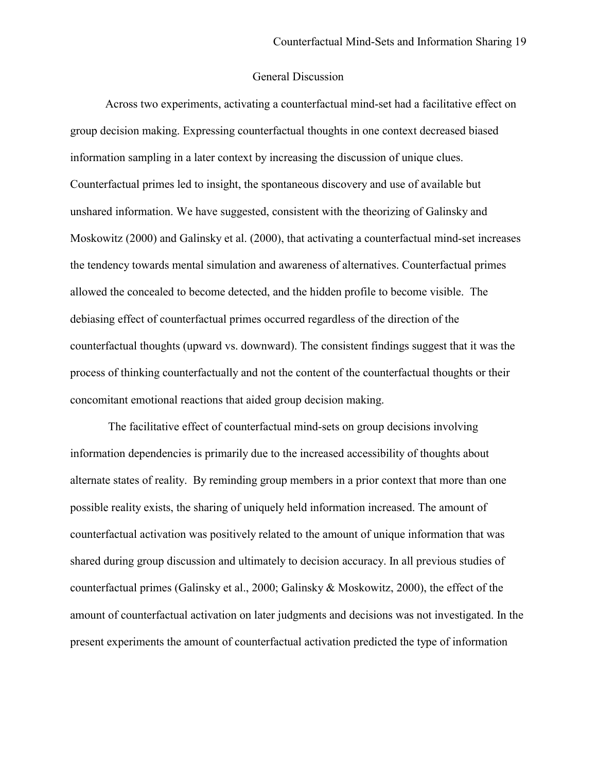# General Discussion

 Across two experiments, activating a counterfactual mind-set had a facilitative effect on group decision making. Expressing counterfactual thoughts in one context decreased biased information sampling in a later context by increasing the discussion of unique clues. Counterfactual primes led to insight, the spontaneous discovery and use of available but unshared information. We have suggested, consistent with the theorizing of Galinsky and Moskowitz (2000) and Galinsky et al. (2000), that activating a counterfactual mind-set increases the tendency towards mental simulation and awareness of alternatives. Counterfactual primes allowed the concealed to become detected, and the hidden profile to become visible. The debiasing effect of counterfactual primes occurred regardless of the direction of the counterfactual thoughts (upward vs. downward). The consistent findings suggest that it was the process of thinking counterfactually and not the content of the counterfactual thoughts or their concomitant emotional reactions that aided group decision making.

 The facilitative effect of counterfactual mind-sets on group decisions involving information dependencies is primarily due to the increased accessibility of thoughts about alternate states of reality. By reminding group members in a prior context that more than one possible reality exists, the sharing of uniquely held information increased. The amount of counterfactual activation was positively related to the amount of unique information that was shared during group discussion and ultimately to decision accuracy. In all previous studies of counterfactual primes (Galinsky et al., 2000; Galinsky & Moskowitz, 2000), the effect of the amount of counterfactual activation on later judgments and decisions was not investigated. In the present experiments the amount of counterfactual activation predicted the type of information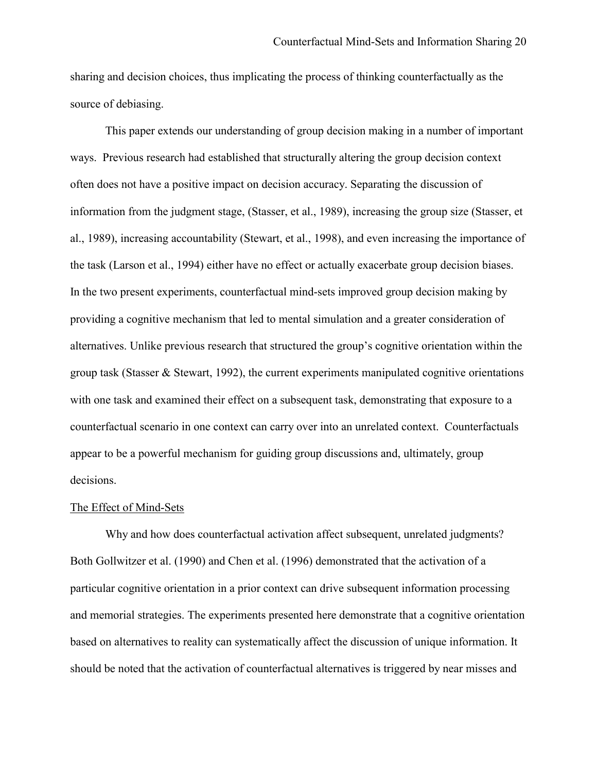sharing and decision choices, thus implicating the process of thinking counterfactually as the source of debiasing.

 This paper extends our understanding of group decision making in a number of important ways. Previous research had established that structurally altering the group decision context often does not have a positive impact on decision accuracy. Separating the discussion of information from the judgment stage, (Stasser, et al., 1989), increasing the group size (Stasser, et al., 1989), increasing accountability (Stewart, et al., 1998), and even increasing the importance of the task (Larson et al., 1994) either have no effect or actually exacerbate group decision biases. In the two present experiments, counterfactual mind-sets improved group decision making by providing a cognitive mechanism that led to mental simulation and a greater consideration of alternatives. Unlike previous research that structured the group's cognitive orientation within the group task (Stasser & Stewart, 1992), the current experiments manipulated cognitive orientations with one task and examined their effect on a subsequent task, demonstrating that exposure to a counterfactual scenario in one context can carry over into an unrelated context. Counterfactuals appear to be a powerful mechanism for guiding group discussions and, ultimately, group decisions.

#### The Effect of Mind-Sets

 Why and how does counterfactual activation affect subsequent, unrelated judgments? Both Gollwitzer et al. (1990) and Chen et al. (1996) demonstrated that the activation of a particular cognitive orientation in a prior context can drive subsequent information processing and memorial strategies. The experiments presented here demonstrate that a cognitive orientation based on alternatives to reality can systematically affect the discussion of unique information. It should be noted that the activation of counterfactual alternatives is triggered by near misses and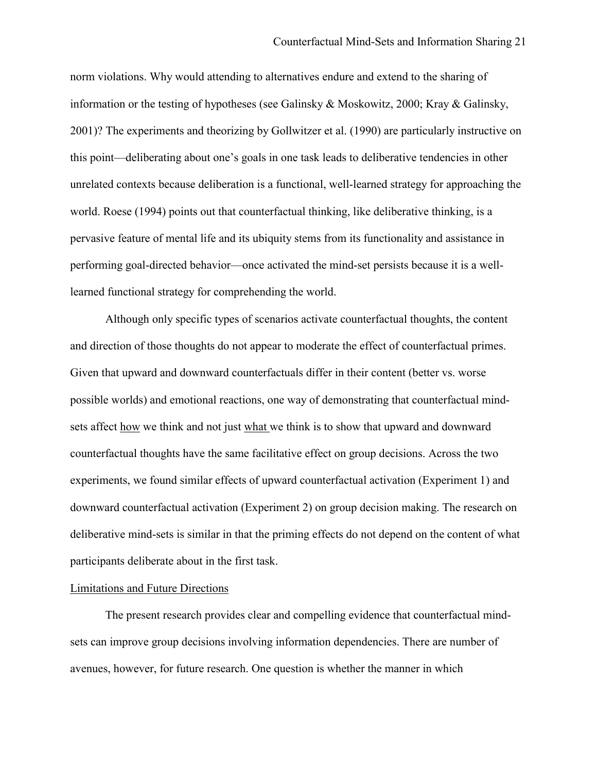norm violations. Why would attending to alternatives endure and extend to the sharing of information or the testing of hypotheses (see Galinsky & Moskowitz, 2000; Kray & Galinsky, 2001)? The experiments and theorizing by Gollwitzer et al. (1990) are particularly instructive on this point—deliberating about one's goals in one task leads to deliberative tendencies in other unrelated contexts because deliberation is a functional, well-learned strategy for approaching the world. Roese (1994) points out that counterfactual thinking, like deliberative thinking, is a pervasive feature of mental life and its ubiquity stems from its functionality and assistance in performing goal-directed behavior—once activated the mind-set persists because it is a welllearned functional strategy for comprehending the world.

Although only specific types of scenarios activate counterfactual thoughts, the content and direction of those thoughts do not appear to moderate the effect of counterfactual primes. Given that upward and downward counterfactuals differ in their content (better vs. worse possible worlds) and emotional reactions, one way of demonstrating that counterfactual mindsets affect how we think and not just what we think is to show that upward and downward counterfactual thoughts have the same facilitative effect on group decisions. Across the two experiments, we found similar effects of upward counterfactual activation (Experiment 1) and downward counterfactual activation (Experiment 2) on group decision making. The research on deliberative mind-sets is similar in that the priming effects do not depend on the content of what participants deliberate about in the first task.

## Limitations and Future Directions

 The present research provides clear and compelling evidence that counterfactual mindsets can improve group decisions involving information dependencies. There are number of avenues, however, for future research. One question is whether the manner in which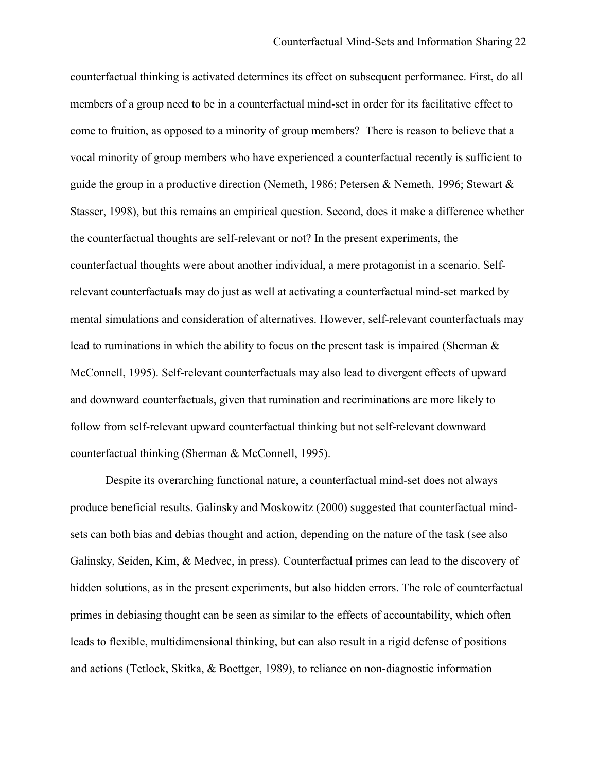counterfactual thinking is activated determines its effect on subsequent performance. First, do all members of a group need to be in a counterfactual mind-set in order for its facilitative effect to come to fruition, as opposed to a minority of group members? There is reason to believe that a vocal minority of group members who have experienced a counterfactual recently is sufficient to guide the group in a productive direction (Nemeth, 1986; Petersen & Nemeth, 1996; Stewart & Stasser, 1998), but this remains an empirical question. Second, does it make a difference whether the counterfactual thoughts are self-relevant or not? In the present experiments, the counterfactual thoughts were about another individual, a mere protagonist in a scenario. Selfrelevant counterfactuals may do just as well at activating a counterfactual mind-set marked by mental simulations and consideration of alternatives. However, self-relevant counterfactuals may lead to ruminations in which the ability to focus on the present task is impaired (Sherman & McConnell, 1995). Self-relevant counterfactuals may also lead to divergent effects of upward and downward counterfactuals, given that rumination and recriminations are more likely to follow from self-relevant upward counterfactual thinking but not self-relevant downward counterfactual thinking (Sherman & McConnell, 1995).

Despite its overarching functional nature, a counterfactual mind-set does not always produce beneficial results. Galinsky and Moskowitz (2000) suggested that counterfactual mindsets can both bias and debias thought and action, depending on the nature of the task (see also Galinsky, Seiden, Kim, & Medvec, in press). Counterfactual primes can lead to the discovery of hidden solutions, as in the present experiments, but also hidden errors. The role of counterfactual primes in debiasing thought can be seen as similar to the effects of accountability, which often leads to flexible, multidimensional thinking, but can also result in a rigid defense of positions and actions (Tetlock, Skitka, & Boettger, 1989), to reliance on non-diagnostic information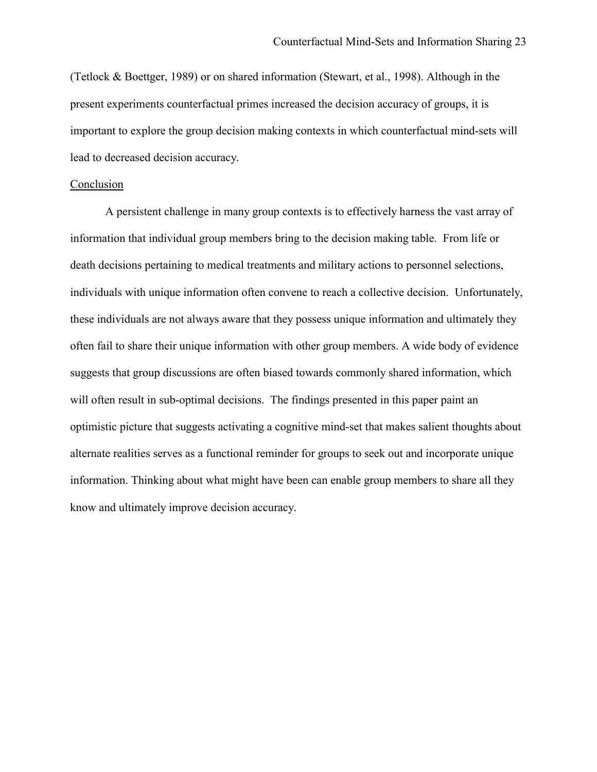(Tetlock & Boettger, 1989) or on shared information (Stewart, et al., 1998). Although in the present experiments counterfactual primes increased the decision accuracy of groups, it is important to explore the group decision making contexts in which counterfactual mind-sets will lead to decreased decision accuracy.

### Conclusion

 A persistent challenge in many group contexts is to effectively harness the vast array of information that individual group members bring to the decision making table. From life or death decisions pertaining to medical treatments and military actions to personnel selections, individuals with unique information often convene to reach a collective decision. Unfortunately, these individuals are not always aware that they possess unique information and ultimately they often fail to share their unique information with other group members. A wide body of evidence suggests that group discussions are often biased towards commonly shared information, which will often result in sub-optimal decisions. The findings presented in this paper paint an optimistic picture that suggests activating a cognitive mind-set that makes salient thoughts about alternate realities serves as a functional reminder for groups to seek out and incorporate unique information. Thinking about what might have been can enable group members to share all they know and ultimately improve decision accuracy.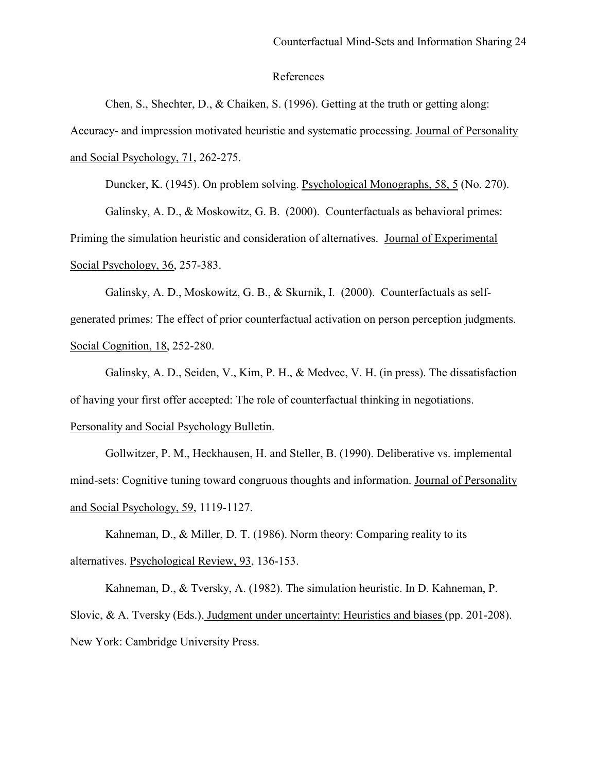## References

Chen, S., Shechter, D., & Chaiken, S. (1996). Getting at the truth or getting along: Accuracy- and impression motivated heuristic and systematic processing. Journal of Personality and Social Psychology, 71, 262-275.

Duncker, K. (1945). On problem solving. Psychological Monographs, 58, 5 (No. 270).

Galinsky, A. D., & Moskowitz, G. B. (2000). Counterfactuals as behavioral primes: Priming the simulation heuristic and consideration of alternatives. Journal of Experimental Social Psychology, 36, 257-383.

Galinsky, A. D., Moskowitz, G. B., & Skurnik, I. (2000). Counterfactuals as selfgenerated primes: The effect of prior counterfactual activation on person perception judgments. Social Cognition, 18, 252-280.

Galinsky, A. D., Seiden, V., Kim, P. H., & Medvec, V. H. (in press). The dissatisfaction of having your first offer accepted: The role of counterfactual thinking in negotiations. Personality and Social Psychology Bulletin.

Gollwitzer, P. M., Heckhausen, H. and Steller, B. (1990). Deliberative vs. implemental mind-sets: Cognitive tuning toward congruous thoughts and information. Journal of Personality and Social Psychology, 59, 1119-1127.

Kahneman, D., & Miller, D. T. (1986). Norm theory: Comparing reality to its alternatives. Psychological Review, 93, 136-153.

Kahneman, D., & Tversky, A. (1982). The simulation heuristic. In D. Kahneman, P. Slovic, & A. Tversky (Eds.), Judgment under uncertainty: Heuristics and biases (pp. 201-208). New York: Cambridge University Press.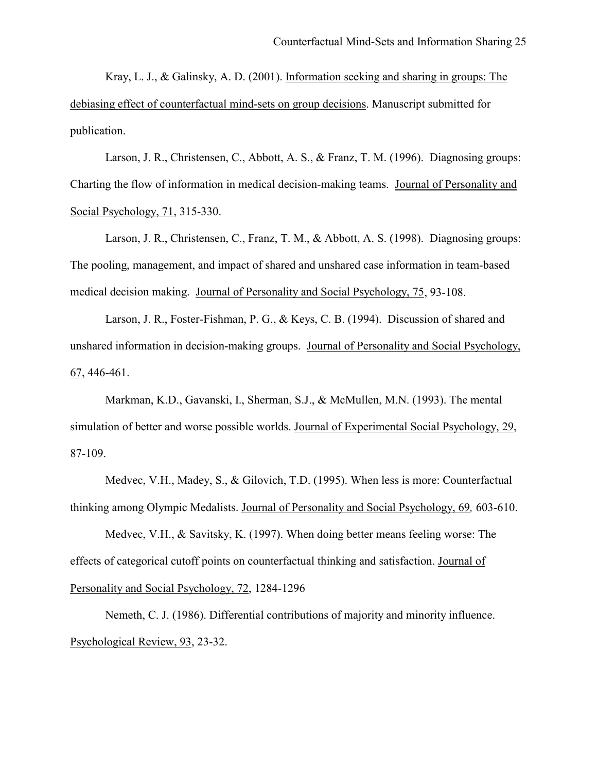Kray, L. J., & Galinsky, A. D. (2001). Information seeking and sharing in groups: The debiasing effect of counterfactual mind-sets on group decisions. Manuscript submitted for publication.

Larson, J. R., Christensen, C., Abbott, A. S., & Franz, T. M. (1996). Diagnosing groups: Charting the flow of information in medical decision-making teams. Journal of Personality and Social Psychology, 71, 315-330.

Larson, J. R., Christensen, C., Franz, T. M., & Abbott, A. S. (1998). Diagnosing groups: The pooling, management, and impact of shared and unshared case information in team-based medical decision making. Journal of Personality and Social Psychology, 75, 93-108.

Larson, J. R., Foster-Fishman, P. G., & Keys, C. B. (1994). Discussion of shared and unshared information in decision-making groups. Journal of Personality and Social Psychology, 67, 446-461.

Markman, K.D., Gavanski, I., Sherman, S.J., & McMullen, M.N. (1993). The mental simulation of better and worse possible worlds. Journal of Experimental Social Psychology, 29, 87-109.

Medvec, V.H., Madey, S., & Gilovich, T.D. (1995). When less is more: Counterfactual thinking among Olympic Medalists. Journal of Personality and Social Psychology, 69*,* 603-610.

Medvec, V.H., & Savitsky, K. (1997). When doing better means feeling worse: The effects of categorical cutoff points on counterfactual thinking and satisfaction. Journal of Personality and Social Psychology, 72, 1284-1296

Nemeth, C. J. (1986). Differential contributions of majority and minority influence. Psychological Review, 93, 23-32.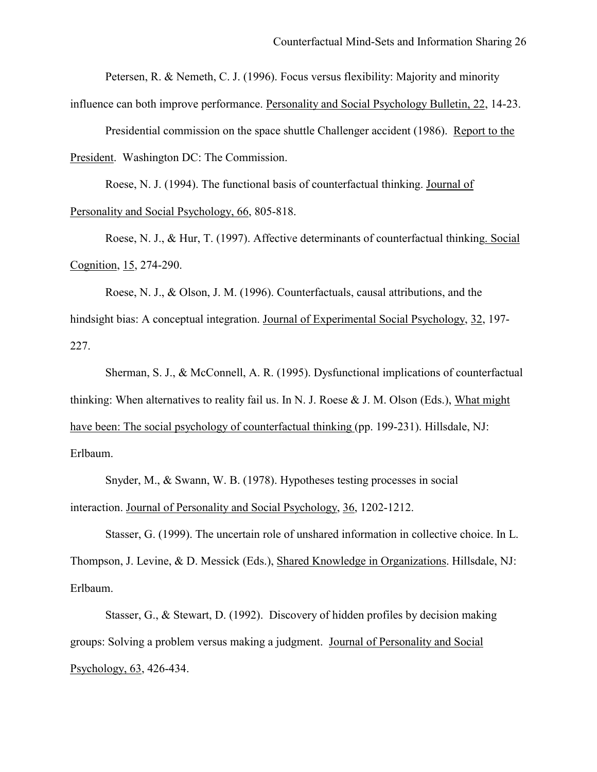Petersen, R. & Nemeth, C. J. (1996). Focus versus flexibility: Majority and minority

influence can both improve performance. Personality and Social Psychology Bulletin, 22, 14-23.

Presidential commission on the space shuttle Challenger accident (1986). Report to the President. Washington DC: The Commission.

Roese, N. J. (1994). The functional basis of counterfactual thinking. Journal of Personality and Social Psychology, 66, 805-818.

Roese, N. J., & Hur, T. (1997). Affective determinants of counterfactual thinking. Social Cognition, 15, 274-290.

Roese, N. J., & Olson, J. M. (1996). Counterfactuals, causal attributions, and the hindsight bias: A conceptual integration. Journal of Experimental Social Psychology, 32, 197- 227.

Sherman, S. J., & McConnell, A. R. (1995). Dysfunctional implications of counterfactual thinking: When alternatives to reality fail us. In N. J. Roese  $&$  J. M. Olson (Eds.), What might have been: The social psychology of counterfactual thinking (pp. 199-231). Hillsdale, NJ: Erlbaum.

Snyder, M., & Swann, W. B. (1978). Hypotheses testing processes in social interaction. Journal of Personality and Social Psychology, 36, 1202-1212.

Stasser, G. (1999). The uncertain role of unshared information in collective choice. In L. Thompson, J. Levine, & D. Messick (Eds.), Shared Knowledge in Organizations. Hillsdale, NJ: Erlbaum.

Stasser, G., & Stewart, D. (1992). Discovery of hidden profiles by decision making groups: Solving a problem versus making a judgment. Journal of Personality and Social Psychology, 63, 426-434.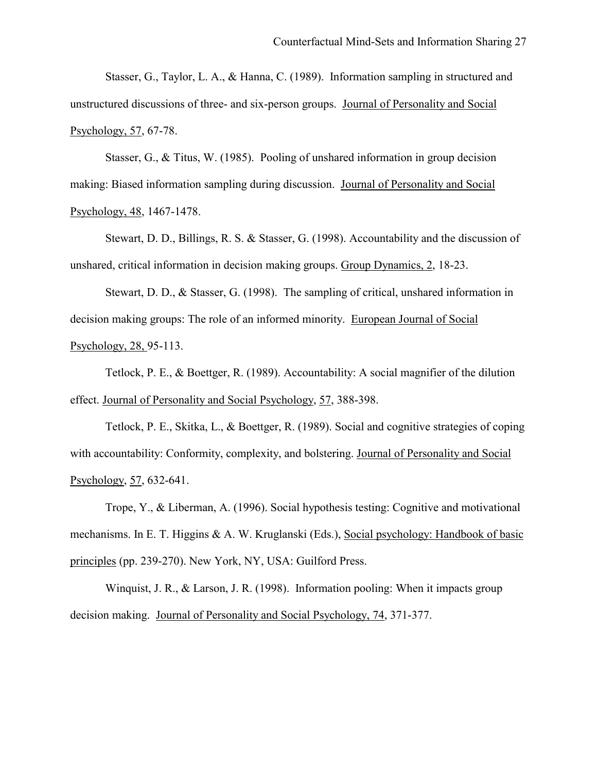Stasser, G., Taylor, L. A., & Hanna, C. (1989). Information sampling in structured and unstructured discussions of three- and six-person groups. Journal of Personality and Social Psychology, 57, 67-78.

 Stasser, G., & Titus, W. (1985). Pooling of unshared information in group decision making: Biased information sampling during discussion. Journal of Personality and Social Psychology, 48, 1467-1478.

 Stewart, D. D., Billings, R. S. & Stasser, G. (1998). Accountability and the discussion of unshared, critical information in decision making groups. Group Dynamics, 2, 18-23.

 Stewart, D. D., & Stasser, G. (1998). The sampling of critical, unshared information in decision making groups: The role of an informed minority. European Journal of Social Psychology, 28, 95-113.

Tetlock, P. E., & Boettger, R. (1989). Accountability: A social magnifier of the dilution effect. Journal of Personality and Social Psychology, 57, 388-398.

Tetlock, P. E., Skitka, L., & Boettger, R. (1989). Social and cognitive strategies of coping with accountability: Conformity, complexity, and bolstering. Journal of Personality and Social Psychology, 57, 632-641.

Trope, Y., & Liberman, A. (1996). Social hypothesis testing: Cognitive and motivational mechanisms. In E. T. Higgins & A. W. Kruglanski (Eds.), Social psychology: Handbook of basic principles (pp. 239-270). New York, NY, USA: Guilford Press.

 Winquist, J. R., & Larson, J. R. (1998). Information pooling: When it impacts group decision making. Journal of Personality and Social Psychology, 74, 371-377.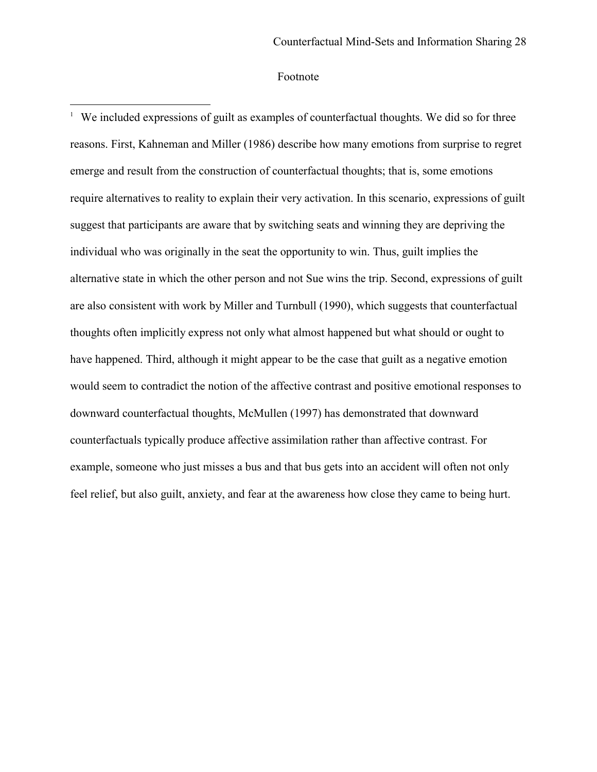## Footnote

1

<sup>1</sup> We included expressions of guilt as examples of counterfactual thoughts. We did so for three reasons. First, Kahneman and Miller (1986) describe how many emotions from surprise to regret emerge and result from the construction of counterfactual thoughts; that is, some emotions require alternatives to reality to explain their very activation. In this scenario, expressions of guilt suggest that participants are aware that by switching seats and winning they are depriving the individual who was originally in the seat the opportunity to win. Thus, guilt implies the alternative state in which the other person and not Sue wins the trip. Second, expressions of guilt are also consistent with work by Miller and Turnbull (1990), which suggests that counterfactual thoughts often implicitly express not only what almost happened but what should or ought to have happened. Third, although it might appear to be the case that guilt as a negative emotion would seem to contradict the notion of the affective contrast and positive emotional responses to downward counterfactual thoughts, McMullen (1997) has demonstrated that downward counterfactuals typically produce affective assimilation rather than affective contrast. For example, someone who just misses a bus and that bus gets into an accident will often not only feel relief, but also guilt, anxiety, and fear at the awareness how close they came to being hurt.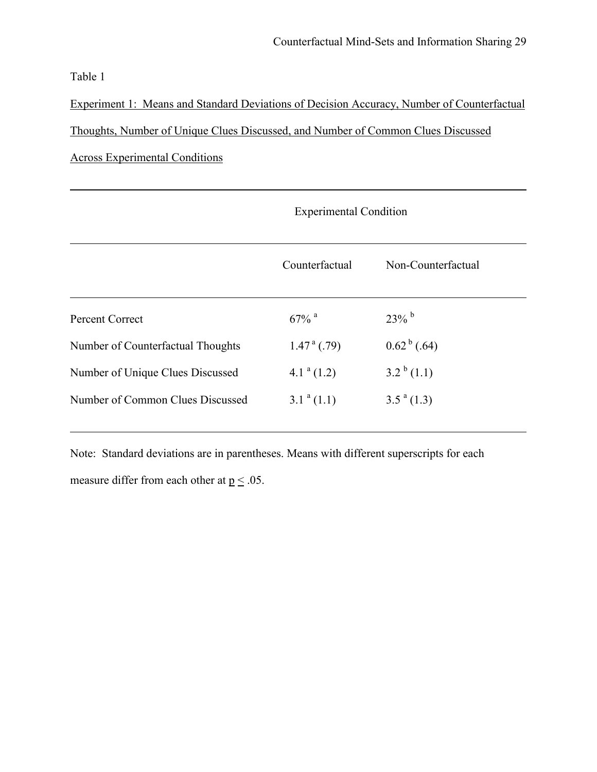Table 1

l

Experiment 1: Means and Standard Deviations of Decision Accuracy, Number of Counterfactual Thoughts, Number of Unique Clues Discussed, and Number of Common Clues Discussed Across Experimental Conditions

|                                   | <b>Experimental Condition</b> |                           |
|-----------------------------------|-------------------------------|---------------------------|
|                                   | Counterfactual                | Non-Counterfactual        |
| <b>Percent Correct</b>            | $67\%$ <sup>a</sup>           | $23\%$ <sup>b</sup>       |
| Number of Counterfactual Thoughts | $1.47^{\text{a}}$ (.79)       | $0.62^{\mathrm{b}}$ (.64) |
| Number of Unique Clues Discussed  | $4.1^a(1.2)$                  | $3.2^{b}(1.1)$            |
| Number of Common Clues Discussed  | $3.1^a(1.1)$                  | $3.5^{\text{a}}(1.3)$     |

Note: Standard deviations are in parentheses. Means with different superscripts for each measure differ from each other at  $p \leq .05$ .